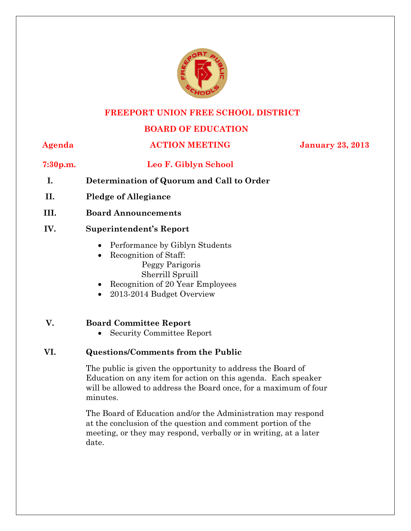

#### **FREEPORT UNION FREE SCHOOL DISTRICT**

#### **BOARD OF EDUCATION**

#### **Agenda ACTION MEETING January 23, 2013**

#### **7:30p.m. Leo F. Giblyn School**

- **I. Determination of Quorum and Call to Order**
- **II. Pledge of Allegiance**
- **III. Board Announcements**

#### **IV. Superintendent's Report**

- Performance by Giblyn Students
- Recognition of Staff: Peggy Parigoris Sherrill Spruill
- Recognition of 20 Year Employees
- 2013-2014 Budget Overview

#### **V. Board Committee Report**

Security Committee Report

#### **VI. Questions/Comments from the Public**

The public is given the opportunity to address the Board of Education on any item for action on this agenda. Each speaker will be allowed to address the Board once, for a maximum of four minutes.

The Board of Education and/or the Administration may respond at the conclusion of the question and comment portion of the meeting, or they may respond, verbally or in writing, at a later date.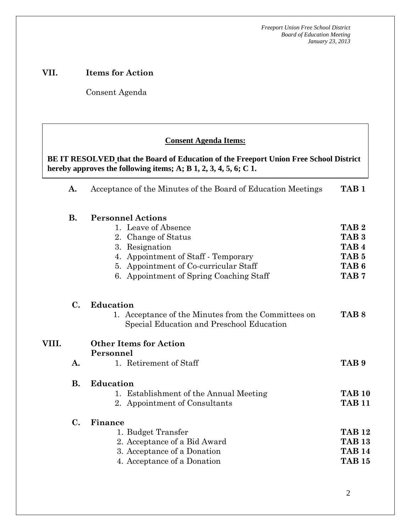#### **VII. Items for Action**

Consent Agenda

 *Acceptance of the Minutes*  $\mathbf{A}$ 

 **AA. Consent - Approve** 

#### **Consent Agenda Items:**

hereby approves the following items; A; B  $1, 2, 3, 4, 5, 6$ ; C  $1$ . **BE IT RESOLVED that the Board of Education of the Freeport Union Free School District** 

|       | A.             | Acceptance of the Minutes of the Board of Education Meetings                                     | TAB <sub>1</sub> |
|-------|----------------|--------------------------------------------------------------------------------------------------|------------------|
|       | <b>B.</b>      | <b>Personnel Actions</b>                                                                         |                  |
|       |                | 1. Leave of Absence                                                                              | TAB <sub>2</sub> |
|       |                | 2. Change of Status                                                                              | TAB <sub>3</sub> |
|       |                | 3. Resignation                                                                                   | TAB <sub>4</sub> |
|       |                | 4. Appointment of Staff - Temporary                                                              | TAB <sub>5</sub> |
|       |                | 5. Appointment of Co-curricular Staff                                                            | TAB <sub>6</sub> |
|       |                | 6. Appointment of Spring Coaching Staff                                                          | TAB <sub>7</sub> |
|       | $\mathbf{C}$ . | <b>Education</b>                                                                                 |                  |
|       |                | 1. Acceptance of the Minutes from the Committees on<br>Special Education and Preschool Education | TAB <sub>8</sub> |
| VIII. |                | <b>Other Items for Action</b>                                                                    |                  |
|       |                | Personnel                                                                                        |                  |
|       | A.             | 1. Retirement of Staff                                                                           | TAB <sub>9</sub> |
|       | <b>B.</b>      | <b>Education</b>                                                                                 |                  |
|       |                | 1. Establishment of the Annual Meeting                                                           | <b>TAB 10</b>    |
|       |                | 2. Appointment of Consultants                                                                    | <b>TAB 11</b>    |
|       | $\mathbf{C}$ . | Finance                                                                                          |                  |
|       |                | 1. Budget Transfer                                                                               | <b>TAB 12</b>    |
|       |                | 2. Acceptance of a Bid Award                                                                     | <b>TAB 13</b>    |
|       |                | 3. Acceptance of a Donation                                                                      | <b>TAB 14</b>    |
|       |                | 4. Acceptance of a Donation                                                                      | <b>TAB 15</b>    |
|       |                |                                                                                                  |                  |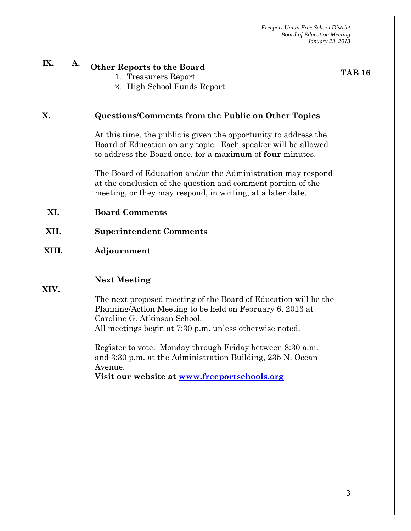# **IX. A. Other Reports to the Board**

**TAB 16** 

- 1. Treasurers Report
- 2. High School Funds Report

#### **X. Questions/Comments from the Public on Other Topics**

At this time, the public is given the opportunity to address the Board of Education on any topic. Each speaker will be allowed to address the Board once, for a maximum of **four** minutes.

The Board of Education and/or the Administration may respond at the conclusion of the question and comment portion of the meeting, or they may respond, in writing, at a later date.

- **XI. Board Comments**
- **XII. Superintendent Comments**

#### **XIII. Adjournment**

#### **Next Meeting**

**XIV.** 

The next proposed meeting of the Board of Education will be the Planning/Action Meeting to be held on February 6, 2013 at Caroline G. Atkinson School. All meetings begin at 7:30 p.m. unless otherwise noted.

Register to vote: Monday through Friday between 8:30 a.m. and 3:30 p.m. at the Administration Building, 235 N. Ocean Avenue.

**Visit our website at www.freeportschools.org**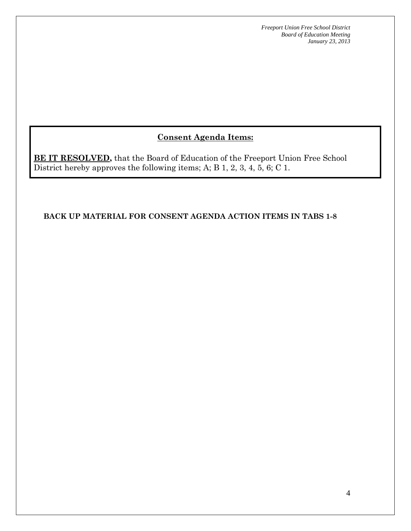### **Consent Agenda Items:**

**BE IT RESOLVED,** that the Board of Education of the Freeport Union Free School District hereby approves the following items; A; B 1, 2, 3, 4, 5, 6; C 1.

**BACK UP MATERIAL FOR CONSENT AGENDA ACTION ITEMS IN TABS 1-8**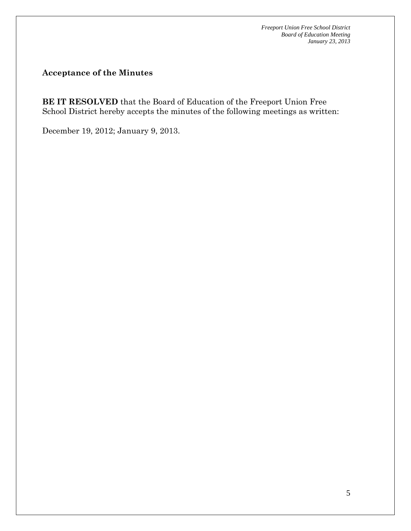**Acceptance of the Minutes** 

**BE IT RESOLVED** that the Board of Education of the Freeport Union Free School District hereby accepts the minutes of the following meetings as written:

December 19, 2012; January 9, 2013.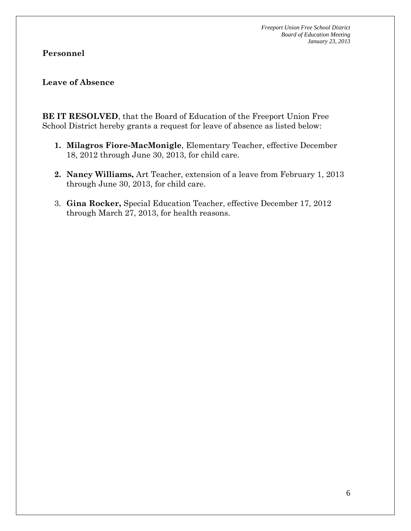#### **Personnel**

#### **Leave of Absence**

**BE IT RESOLVED**, that the Board of Education of the Freeport Union Free School District hereby grants a request for leave of absence as listed below:

- **1. Milagros Fiore-MacMonigle**, Elementary Teacher, effective December 18, 2012 through June 30, 2013, for child care.
- **2. Nancy Williams,** Art Teacher, extension of a leave from February 1, 2013 through June 30, 2013, for child care.
- 3. **Gina Rocker,** Special Education Teacher, effective December 17, 2012 through March 27, 2013, for health reasons.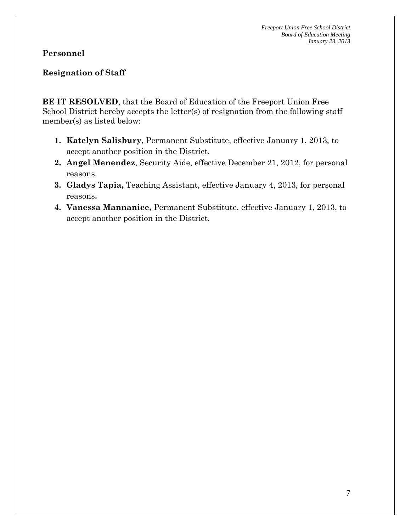#### **Personnel**

#### **Resignation of Staff**

**BE IT RESOLVED**, that the Board of Education of the Freeport Union Free School District hereby accepts the letter(s) of resignation from the following staff member(s) as listed below:

- **1. Katelyn Salisbury**, Permanent Substitute, effective January 1, 2013, to accept another position in the District.
- **2. Angel Menendez**, Security Aide, effective December 21, 2012, for personal reasons.
- **3. Gladys Tapia,** Teaching Assistant, effective January 4, 2013, for personal reasons**.**
- **4. Vanessa Mannanice,** Permanent Substitute, effective January 1, 2013, to accept another position in the District.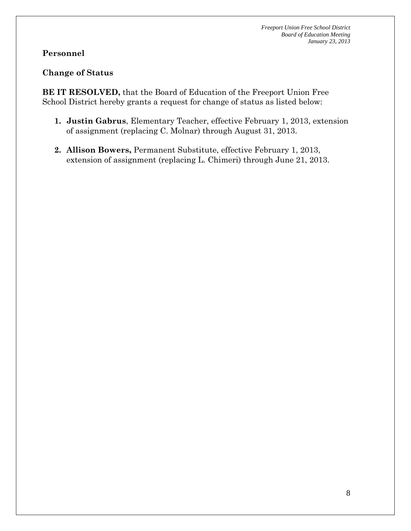#### **Personnel**

#### **Change of Status**

**BE IT RESOLVED,** that the Board of Education of the Freeport Union Free School District hereby grants a request for change of status as listed below:

- **1. Justin Gabrus**, Elementary Teacher, effective February 1, 2013, extension of assignment (replacing C. Molnar) through August 31, 2013.
- **2. Allison Bowers,** Permanent Substitute, effective February 1, 2013, extension of assignment (replacing L. Chimeri) through June 21, 2013.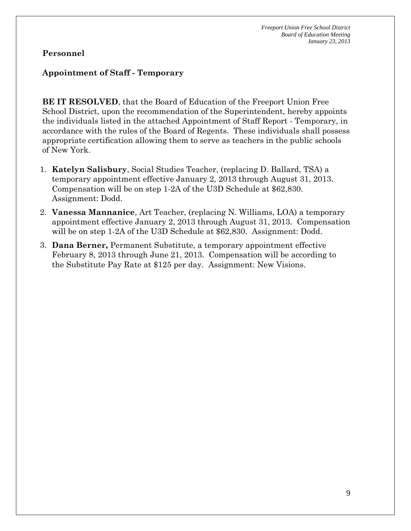#### **Personnel**

#### **Appointment of Staff - Temporary**

**BE IT RESOLVED**, that the Board of Education of the Freeport Union Free School District, upon the recommendation of the Superintendent, hereby appoints the individuals listed in the attached Appointment of Staff Report - Temporary, in accordance with the rules of the Board of Regents. These individuals shall possess appropriate certification allowing them to serve as teachers in the public schools of New York.

- 1. **Katelyn Salisbury**, Social Studies Teacher, (replacing D. Ballard, TSA) a temporary appointment effective January 2, 2013 through August 31, 2013. Compensation will be on step 1-2A of the U3D Schedule at \$62,830. Assignment: Dodd.
- 2. **Vanessa Mannanice**, Art Teacher, (replacing N. Williams, LOA) a temporary appointment effective January 2, 2013 through August 31, 2013. Compensation will be on step 1-2A of the U3D Schedule at \$62,830. Assignment: Dodd.
- 3. **Dana Berner,** Permanent Substitute, a temporary appointment effective February 8, 2013 through June 21, 2013. Compensation will be according to the Substitute Pay Rate at \$125 per day. Assignment: New Visions.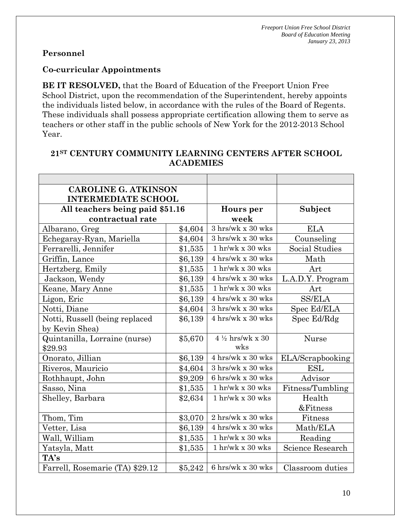#### **Personnel**

#### **Co-curricular Appointments**

**BE IT RESOLVED,** that the Board of Education of the Freeport Union Free School District, upon the recommendation of the Superintendent, hereby appoints the individuals listed below, in accordance with the rules of the Board of Regents. These individuals shall possess appropriate certification allowing them to serve as teachers or other staff in the public schools of New York for the 2012-2013 School Year.

| <b>CAROLINE G. ATKINSON</b>     |           |                                          |                  |
|---------------------------------|-----------|------------------------------------------|------------------|
| <b>INTERMEDIATE SCHOOL</b>      |           |                                          |                  |
| All teachers being paid \$51.16 | Hours per | Subject                                  |                  |
| contractual rate                |           | week                                     |                  |
| Albarano, Greg                  | \$4,604   | $3 \text{ hrs/wk} \times 30 \text{ wks}$ | <b>ELA</b>       |
| Echegaray-Ryan, Mariella        | \$4,604   | $3 \text{ hrs/wk}$ x $30 \text{ wks}$    | Counseling       |
| Ferrarelli, Jennifer            | \$1,535   | $1$ hr/wk x 30 wks                       | Social Studies   |
| Griffin, Lance                  | \$6,139   | 4 hrs/wk x 30 wks                        | Math             |
| Hertzberg, Emily                | \$1,535   | $1$ hr/wk x 30 wks                       | Art              |
| Jackson, Wendy                  | \$6,139   | 4 hrs/wk x 30 wks                        | L.A.D.Y. Program |
| Keane, Mary Anne                | \$1,535   | $1$ hr/wk x 30 wks                       | Art              |
| Ligon, Eric                     | \$6,139   | 4 hrs/wk x 30 wks                        | <b>SS/ELA</b>    |
| Notti, Diane                    | \$4,604   | 3 hrs/wk x 30 wks                        | Spec Ed/ELA      |
| Notti, Russell (being replaced  | \$6,139   | 4 hrs/wk x 30 wks                        | Spec Ed/Rdg      |
| by Kevin Shea)                  |           |                                          |                  |
| Quintanilla, Lorraine (nurse)   | \$5,670   | $4\frac{1}{2}$ hrs/wk x 30               | Nurse            |
| \$29.93                         |           | wks                                      |                  |
| Onorato, Jillian                | \$6,139   | 4 hrs/wk x 30 wks                        | ELA/Scrapbooking |
| Riveros, Mauricio               | \$4,604   | $3 \text{ hrs/wk} \ge 30 \text{ wks}$    | <b>ESL</b>       |
| Rothhaupt, John                 | \$9,209   | 6 hrs/wk x 30 wks                        | Advisor          |
| Sasso, Nina                     | \$1,535   | $1$ hr/wk x $30$ wks                     | Fitness/Tumbling |
| Shelley, Barbara                | \$2,634   | $1$ hr/wk x $30$ wks                     | Health           |
|                                 |           |                                          | &Fitness         |
| Thom, Tim                       | \$3,070   | 2 hrs/wk x 30 wks                        | Fitness          |
| Vetter, Lisa<br>\$6,139         |           | 4 hrs/wk x 30 wks                        | Math/ELA         |
| Wall, William                   | \$1,535   | $1$ hr/wk x 30 wks                       | Reading          |
| Yatsyla, Matt                   | \$1,535   | $1$ hr/wk x $30$ wks                     | Science Research |
| TA's                            |           |                                          |                  |
| Farrell, Rosemarie (TA) \$29.12 | \$5,242   | 6 hrs/wk x 30 wks                        | Classroom duties |

#### **21ST CENTURY COMMUNITY LEARNING CENTERS AFTER SCHOOL ACADEMIES**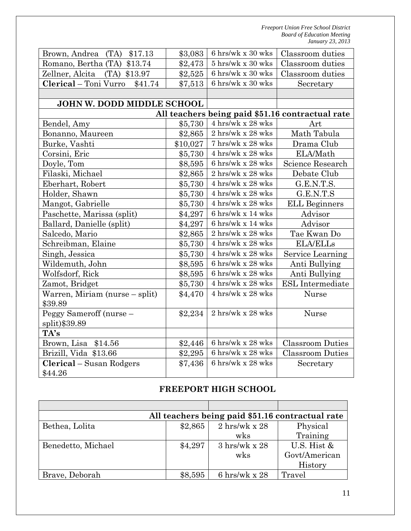| Brown, Andrea (TA) \$17.13       | \$3,083  | 6 hrs/wk x 30 wks                                | Classroom duties        |  |
|----------------------------------|----------|--------------------------------------------------|-------------------------|--|
| Romano, Bertha (TA) \$13.74      | \$2,473  | $5 \;{\rm hrs/wk}$ x $30 \;{\rm wks}$            | Classroom duties        |  |
| Zellner, Alcita<br>(TA) \$13.97  | \$2,525  | 6 hrs/wk x 30 wks                                | Classroom duties        |  |
| Clerical - Toni Vurro<br>\$41.74 | \$7,513  | 6 hrs/wk x 30 wks                                | Secretary               |  |
|                                  |          |                                                  |                         |  |
| JOHN W. DODD MIDDLE SCHOOL       |          |                                                  |                         |  |
|                                  |          | All teachers being paid \$51.16 contractual rate |                         |  |
| Bendel, Amy                      | \$5,730  | 4 hrs/wk x 28 wks                                | Art                     |  |
| Bonanno, Maureen                 | \$2,865  | $2 \;{\rm hrs/wk}$ x $28 \;{\rm wks}$            | Math Tabula             |  |
| Burke, Vashti                    | \$10,027 | 7 hrs/wk x 28 wks                                | Drama Club              |  |
| Corsini, Eric                    | \$5,730  | 4 hrs/wk x 28 wks                                | ELA/Math                |  |
| Doyle, Tom                       | \$8,595  | 6 hrs/wk x 28 wks                                | Science Research        |  |
| Filaski, Michael                 | \$2,865  | 2 hrs/wk x 28 wks                                | Debate Club             |  |
| Eberhart, Robert                 | \$5,730  | 4 hrs/wk x 28 wks                                | G.E.N.T.S.              |  |
| Holder, Shawn                    | \$5,730  | $4 \text{ hrs/wk} \times 28 \text{ wks}$         | G.E.N.T.S               |  |
| Mangot, Gabrielle                | \$5,730  | $4 \;{\rm hrs/wk}$ x $28 \;{\rm wks}$            | <b>ELL Beginners</b>    |  |
| Paschette, Marissa (split)       | \$4,297  | 6 hrs/wk x 14 wks                                | Advisor                 |  |
| Ballard, Danielle (split)        | \$4,297  | 6 hrs/wk x 14 wks                                | Advisor                 |  |
| Salcedo, Mario                   | \$2,865  | $2~\mathrm{hrs/wk}$ x $28~\mathrm{wks}$          | Tae Kwan Do             |  |
| Schreibman, Elaine               | \$5,730  | 4 hrs/wk x 28 wks                                | <b>ELA/ELLs</b>         |  |
| Singh, Jessica                   | \$5,730  | 4 hrs/wk x 28 wks                                | Service Learning        |  |
| Wildemuth, John                  | \$8,595  | 6 hrs/wk x 28 wks                                | Anti Bullying           |  |
| Wolfsdorf, Rick                  | \$8,595  | 6 hrs/wk x 28 wks                                | Anti Bullying           |  |
| Zamot, Bridget                   | \$5,730  | 4 hrs/wk x 28 wks                                | <b>ESL</b> Intermediate |  |
| Warren, Miriam (nurse – split)   | \$4,470  | $4 \text{ hrs/wk} \ge 28 \text{ wks}$            | Nurse                   |  |
| \$39.89                          |          |                                                  |                         |  |
| Peggy Sameroff (nurse -          | \$2,234  | 2 hrs/wk x 28 wks                                | <b>Nurse</b>            |  |
| split)\$39.89                    |          |                                                  |                         |  |
| TA's                             |          |                                                  |                         |  |
| Brown, Lisa \$14.56              | \$2,446  | 6 hrs/wk x 28 wks                                | <b>Classroom Duties</b> |  |
| Brizill, Vida \$13.66            | \$2,295  | 6 hrs/wk x 28 wks                                | <b>Classroom Duties</b> |  |
| <b>Clerical</b> – Susan Rodgers  | \$7,436  | $6 \text{ hrs/wk}$ x 28 wks                      | Secretary               |  |
| \$44.26                          |          |                                                  |                         |  |

## **FREEPORT HIGH SCHOOL**

| All teachers being paid \$51.16 contractual rate |         |                              |               |  |
|--------------------------------------------------|---------|------------------------------|---------------|--|
| Bethea, Lolita                                   | \$2,865 | $2 \text{ hrs/wk} \times 28$ | Physical      |  |
|                                                  |         | wks                          | Training      |  |
| Benedetto, Michael                               | \$4,297 | $3 \text{ hrs/wk x } 28$     | U.S. Hist $&$ |  |
|                                                  |         | wks                          | Govt/American |  |
|                                                  |         |                              | History       |  |
| Brave, Deborah                                   | \$8,595 | 6 hrs/wk x $28$              | Travel        |  |

ֺ֖֚֝֬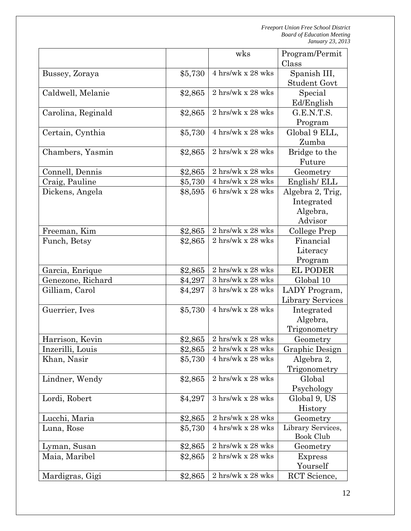|                               |                    | wks                                         | Program/Permit<br>Class        |
|-------------------------------|--------------------|---------------------------------------------|--------------------------------|
| Bussey, Zoraya                | \$5,730            | 4 hrs/wk x 28 wks                           | Spanish III,                   |
| Caldwell, Melanie             | \$2,865            | $2 \text{ hrs/wk} \ge 28 \text{ wks}$       | <b>Student Govt</b><br>Special |
|                               |                    |                                             | Ed/English                     |
| Carolina, Reginald            | \$2,865            | 2 hrs/wk x 28 wks                           | G.E.N.T.S.                     |
|                               |                    |                                             | Program                        |
| Certain, Cynthia              | \$5,730            | 4 hrs/wk x 28 wks                           | Global 9 ELL,                  |
|                               |                    |                                             | Zumba                          |
| Chambers, Yasmin              | \$2,865            | 2 hrs/wk x 28 wks                           | Bridge to the                  |
|                               |                    |                                             | Future                         |
| Connell, Dennis               | \$2,865            | 2 hrs/wk x 28 wks                           | Geometry                       |
| Craig, Pauline                | \$5,730            | 4 hrs/wk x 28 wks                           | English/ELL                    |
| Dickens, Angela               | \$8,595            | $6 \;{\rm hrs/wk}$ x $28 \;{\rm wks}$       | Algebra 2, Trig,               |
|                               |                    |                                             | Integrated                     |
|                               |                    |                                             | Algebra,                       |
|                               |                    |                                             | Advisor                        |
| Freeman, Kim                  | \$2,865            | $2 \text{ hrs/wk} \times 28 \text{ wks}$    | College Prep                   |
| Funch, Betsy                  | \$2,865            | 2 hrs/wk x 28 wks                           | Financial                      |
|                               |                    |                                             | Literacy                       |
|                               |                    |                                             | Program                        |
| Garcia, Enrique               | \$2,865            | 2 hrs/wk x 28 wks                           | <b>EL PODER</b>                |
| Genezone, Richard             | \$4,297            | 3 hrs/wk x 28 wks                           | Global 10                      |
| Gilliam, Carol                | \$4,297            | $3 \ \mathrm{hrs/wk}$ x $28 \ \mathrm{wks}$ | LADY Program,                  |
|                               |                    |                                             | <b>Library Services</b>        |
| Guerrier, Ives                | \$5,730            | 4 hrs/wk x 28 wks                           | Integrated                     |
|                               |                    |                                             | Algebra,                       |
|                               |                    |                                             | Trigonometry                   |
| Harrison, Kevin               | \$2,865            | $2 \;{\rm hrs/wk}$ x $28 \;{\rm wks}$       | Geometry                       |
| Inzerilli, Louis              | \$2,865            | $2 \;{\rm hrs/wk}$ x $28 \;{\rm wks}$       | Graphic Design                 |
| Khan, Nasir                   | \$5,730            | 4 hrs/wk x 28 wks                           | Algebra 2,                     |
|                               |                    |                                             | Trigonometry                   |
| Lindner, Wendy                | \$2,865            | 2 hrs/wk x 28 wks                           | Global                         |
|                               |                    |                                             | Psychology                     |
| Lordi, Robert                 | \$4,297            | $3 \;{\rm hrs/wk}$ x $28 \;{\rm wks}$       | Global 9, US                   |
|                               |                    |                                             | History                        |
| Lucchi, Maria                 | \$2,865            | 2 hrs/wk x 28 wks                           | Geometry                       |
| Luna, Rose                    | \$5,730            | 4 hrs/wk x 28 wks                           | Library Services,              |
|                               |                    | 2 hrs/wk x 28 wks                           | Book Club                      |
| Lyman, Susan<br>Maia, Maribel | \$2,865<br>\$2,865 | 2 hrs/wk x 28 wks                           | Geometry<br><b>Express</b>     |
|                               |                    |                                             | Yourself                       |
| Mardigras, Gigi               | \$2,865            | 2 hrs/wk x 28 wks                           | RCT Science,                   |
|                               |                    |                                             |                                |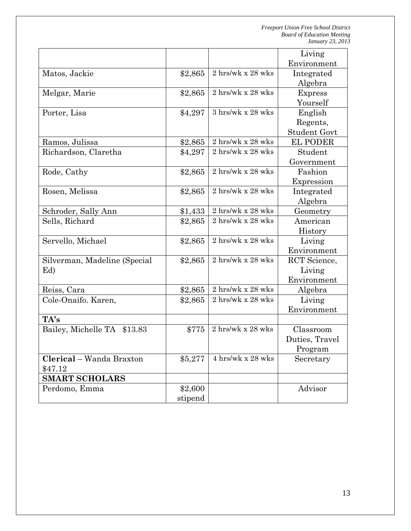|                                |         |                                          | Living              |
|--------------------------------|---------|------------------------------------------|---------------------|
|                                |         |                                          | Environment         |
| Matos, Jackie                  | \$2,865 | $2 \text{ hrs/wk} \times 28 \text{ wks}$ | Integrated          |
|                                |         |                                          | Algebra             |
| Melgar, Marie                  | \$2,865 | 2 hrs/wk x 28 wks                        | <b>Express</b>      |
|                                |         |                                          | Yourself            |
| Porter, Lisa                   | \$4,297 | $3 \text{ hrs/wk} \times 28 \text{ wks}$ | English             |
|                                |         |                                          | Regents,            |
|                                |         |                                          | <b>Student Govt</b> |
| Ramos, Julissa                 | \$2,865 | 2 hrs/wk x 28 wks                        | <b>EL PODER</b>     |
| Richardson, Claretha           | \$4,297 | 2 hrs/wk x 28 wks                        | Student             |
|                                |         |                                          | Government          |
| Rode, Cathy                    | \$2,865 | 2 hrs/wk x 28 wks                        | Fashion             |
|                                |         |                                          | Expression          |
| Rosen, Melissa                 | \$2,865 | $2 \text{ hrs/wk} \times 28 \text{ wks}$ | Integrated          |
|                                |         |                                          | Algebra             |
| Schroder, Sally Ann            | \$1,433 | 2 hrs/wk x 28 wks                        | Geometry            |
| Sells, Richard                 | \$2,865 | 2 hrs/wk x 28 wks                        | American            |
|                                |         |                                          | History             |
| Servello, Michael              | \$2,865 | $2 \text{ hrs/wk}$ x $28 \text{ wks}$    | Living              |
|                                |         |                                          | Environment         |
| Silverman, Madeline (Special   | \$2,865 | 2 hrs/wk x 28 wks                        | RCT Science,        |
| Ed)                            |         |                                          | Living              |
|                                |         |                                          | Environment         |
| Reiss, Cara                    | \$2,865 | 2 hrs/wk x 28 wks                        | Algebra             |
| Cole-Onaifo. Karen,            | \$2,865 | $2 \text{ hrs/wk} \ge 28 \text{ wks}$    | Living              |
|                                |         |                                          | Environment         |
| TA's                           |         |                                          |                     |
| Bailey, Michelle TA<br>\$13.83 | \$775   | 2 hrs/wk x 28 wks                        | Classroom           |
|                                |         |                                          | Duties, Travel      |
|                                |         |                                          | Program             |
| Clerical – Wanda Braxton       | \$5,277 | $4 \text{ hrs/wk} \times 28 \text{ wks}$ | Secretary           |
| \$47.12                        |         |                                          |                     |
| <b>SMART SCHOLARS</b>          |         |                                          |                     |
| Perdomo, Emma                  | \$2,600 |                                          | Advisor             |
|                                | stipend |                                          |                     |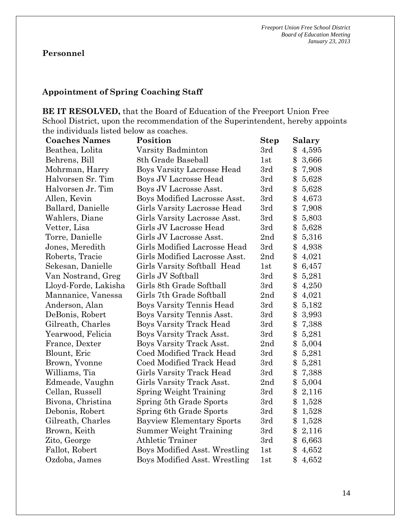## **Personnel**

#### **Appointment of Spring Coaching Staff**

**BE IT RESOLVED,** that the Board of Education of the Freeport Union Free School District, upon the recommendation of the Superintendent, hereby appoints the individuals listed below as coaches.

| <b>Coaches Names</b> | Position                             | <b>Step</b> | Salary                 |
|----------------------|--------------------------------------|-------------|------------------------|
| Beathea, Lolita      | Varsity Badminton                    | 3rd         | \$<br>4,595            |
| Behrens, Bill        | 8th Grade Baseball                   | 1st         | \$<br>3,666            |
| Mohrman, Harry       | <b>Boys Varsity Lacrosse Head</b>    | 3rd         | \$<br>7,908            |
| Halvorsen Sr. Tim    | Boys JV Lacrosse Head                | 3rd         | $\mathcal{S}$<br>5,628 |
| Halvorsen Jr. Tim    | Boys JV Lacrosse Asst.               | 3rd         | \$<br>5,628            |
| Allen, Kevin         | Boys Modified Lacrosse Asst.         | 3rd         | \$<br>4,673            |
| Ballard, Danielle    | Girls Varsity Lacrosse Head          | 3rd         | \$<br>7,908            |
| Wahlers, Diane       | Girls Varsity Lacrosse Asst.         | 3rd         | \$<br>5,803            |
| Vetter, Lisa         | Girls JV Lacrosse Head               | 3rd         | $\$\$<br>5,628         |
| Torre, Danielle      | Girls JV Lacrosse Asst.              | 2nd         | \$<br>5,316            |
| Jones, Meredith      | Girls Modified Lacrosse Head         | 3rd         | $\$\$<br>4,938         |
| Roberts, Tracie      | Girls Modified Lacrosse Asst.        | 2nd         | \$<br>4,021            |
| Sekesan, Danielle    | Girls Varsity Softball Head          | 1st         | \$<br>6,457            |
| Van Nostrand, Greg   | Girls JV Softball                    | 3rd         | \$<br>5,281            |
| Lloyd-Forde, Lakisha | Girls 8th Grade Softball             | 3rd         | \$<br>4,250            |
| Mannanice, Vanessa   | Girls 7th Grade Softball             | 2nd         | \$<br>4,021            |
| Anderson, Alan       | <b>Boys Varsity Tennis Head</b>      | 3rd         | \$<br>5,182            |
| DeBonis, Robert      | Boys Varsity Tennis Asst.            | 3rd         | \$<br>3,993            |
| Gilreath, Charles    | <b>Boys Varsity Track Head</b>       | 3rd         | \$<br>7,388            |
| Yearwood, Felicia    | Boys Varsity Track Asst.             | 3rd         | \$<br>5,281            |
| France, Dexter       | Boys Varsity Track Asst.             | 2nd         | $\$\$<br>5,004         |
| Blount, Eric         | <b>Coed Modified Track Head</b>      | 3rd         | \$<br>5,281            |
| Brown, Yvonne        | Coed Modified Track Head             | 3rd         | \$<br>5,281            |
| Williams, Tia        | Girls Varsity Track Head             | 3rd         | \$<br>7,388            |
| Edmeade, Vaughn      | Girls Varsity Track Asst.            | 2nd         | \$<br>5,004            |
| Cellan, Russell      | Spring Weight Training               | 3rd         | \$<br>2,116            |
| Bivona, Christina    | Spring 5th Grade Sports              | 3rd         | \$<br>1,528            |
| Debonis, Robert      | Spring 6th Grade Sports              | 3rd         | \$<br>1,528            |
| Gilreath, Charles    | <b>Bayview Elementary Sports</b>     | 3rd         | \$<br>1,528            |
| Brown, Keith         | Summer Weight Training               | 3rd         | \$<br>2,116            |
| Zito, George         | <b>Athletic Trainer</b>              | 3rd         | \$<br>6,663            |
| Fallot, Robert       | <b>Boys Modified Asst. Wrestling</b> | 1st         | \$<br>4,652            |
| Ozdoba, James        | Boys Modified Asst. Wrestling        | 1st         | \$<br>4,652            |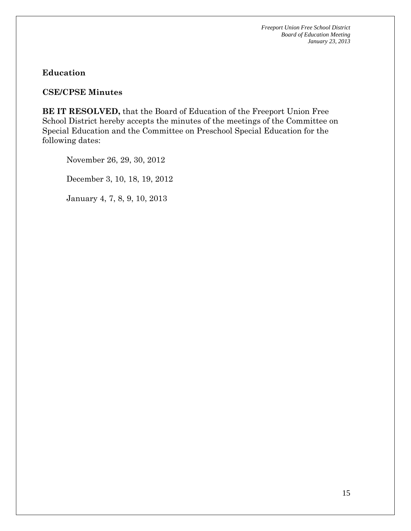**Education**

**CSE/CPSE Minutes**

**BE IT RESOLVED,** that the Board of Education of the Freeport Union Free School District hereby accepts the minutes of the meetings of the Committee on Special Education and the Committee on Preschool Special Education for the following dates:

November 26, 29, 30, 2012

December 3, 10, 18, 19, 2012

January 4, 7, 8, 9, 10, 2013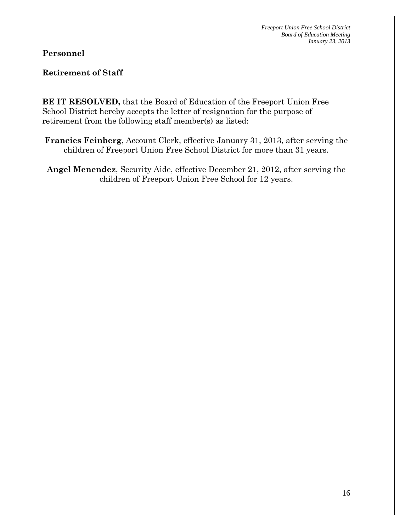**Personnel** 

**Retirement of Staff** 

**BE IT RESOLVED,** that the Board of Education of the Freeport Union Free School District hereby accepts the letter of resignation for the purpose of retirement from the following staff member(s) as listed:

**Francies Feinberg**, Account Clerk, effective January 31, 2013, after serving the children of Freeport Union Free School District for more than 31 years.

**Angel Menendez**, Security Aide, effective December 21, 2012, after serving the children of Freeport Union Free School for 12 years.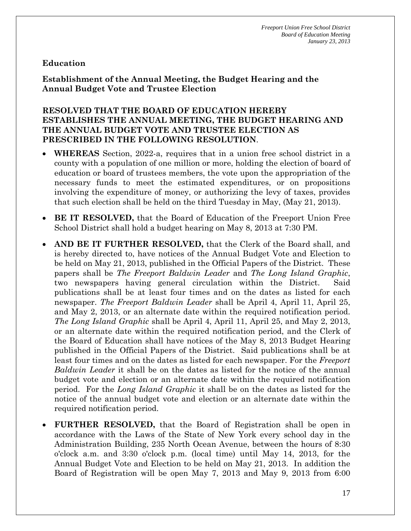#### **Education**

**Establishment of the Annual Meeting, the Budget Hearing and the Annual Budget Vote and Trustee Election** 

#### **RESOLVED THAT THE BOARD OF EDUCATION HEREBY ESTABLISHES THE ANNUAL MEETING, THE BUDGET HEARING AND THE ANNUAL BUDGET VOTE AND TRUSTEE ELECTION AS PRESCRIBED IN THE FOLLOWING RESOLUTION**.

- **WHEREAS** Section, 2022-a, requires that in a union free school district in a county with a population of one million or more, holding the election of board of education or board of trustees members, the vote upon the appropriation of the necessary funds to meet the estimated expenditures, or on propositions involving the expenditure of money, or authorizing the levy of taxes, provides that such election shall be held on the third Tuesday in May, (May 21, 2013).
- **BE IT RESOLVED,** that the Board of Education of the Freeport Union Free School District shall hold a budget hearing on May 8, 2013 at 7:30 PM.
- **AND BE IT FURTHER RESOLVED,** that the Clerk of the Board shall, and is hereby directed to, have notices of the Annual Budget Vote and Election to be held on May 21, 2013, published in the Official Papers of the District. These papers shall be *The Freeport Baldwin Leader* and *The Long Island Graphic*, two newspapers having general circulation within the District. Said publications shall be at least four times and on the dates as listed for each newspaper. *The Freeport Baldwin Leader* shall be April 4, April 11, April 25, and May 2, 2013, or an alternate date within the required notification period. *The Long Island Graphic* shall be April 4, April 11, April 25, and May 2, 2013, or an alternate date within the required notification period, and the Clerk of the Board of Education shall have notices of the May 8, 2013 Budget Hearing published in the Official Papers of the District. Said publications shall be at least four times and on the dates as listed for each newspaper. For the *Freeport Baldwin Leader* it shall be on the dates as listed for the notice of the annual budget vote and election or an alternate date within the required notification period. For the *Long Island Graphic* it shall be on the dates as listed for the notice of the annual budget vote and election or an alternate date within the required notification period.
- **FURTHER RESOLVED,** that the Board of Registration shall be open in accordance with the Laws of the State of New York every school day in the Administration Building, 235 North Ocean Avenue, between the hours of 8:30 o'clock a.m. and 3:30 o'clock p.m. (local time) until May 14, 2013, for the Annual Budget Vote and Election to be held on May 21, 2013. In addition the Board of Registration will be open May 7, 2013 and May 9, 2013 from 6:00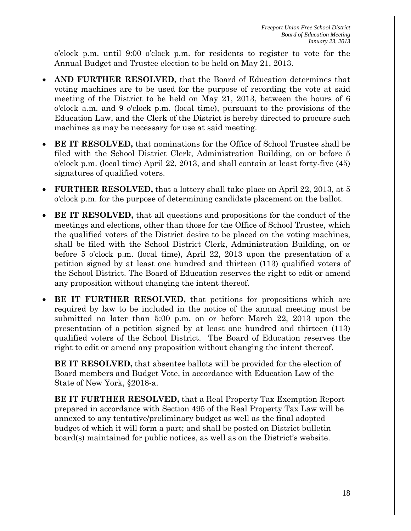o'clock p.m. until 9:00 o'clock p.m. for residents to register to vote for the Annual Budget and Trustee election to be held on May 21, 2013.

- **AND FURTHER RESOLVED,** that the Board of Education determines that voting machines are to be used for the purpose of recording the vote at said meeting of the District to be held on May 21, 2013, between the hours of 6 o'clock a.m. and 9 o'clock p.m. (local time), pursuant to the provisions of the Education Law, and the Clerk of the District is hereby directed to procure such machines as may be necessary for use at said meeting.
- **BE IT RESOLVED,** that nominations for the Office of School Trustee shall be filed with the School District Clerk, Administration Building, on or before 5 o'clock p.m. (local time) April 22, 2013, and shall contain at least forty-five (45) signatures of qualified voters.
- **FURTHER RESOLVED,** that a lottery shall take place on April 22, 2013, at 5 o'clock p.m. for the purpose of determining candidate placement on the ballot.
- **BE IT RESOLVED,** that all questions and propositions for the conduct of the meetings and elections, other than those for the Office of School Trustee, which the qualified voters of the District desire to be placed on the voting machines, shall be filed with the School District Clerk, Administration Building, on or before 5 o'clock p.m. (local time), April 22, 2013 upon the presentation of a petition signed by at least one hundred and thirteen (113) qualified voters of the School District. The Board of Education reserves the right to edit or amend any proposition without changing the intent thereof.
- **BE IT FURTHER RESOLVED,** that petitions for propositions which are required by law to be included in the notice of the annual meeting must be submitted no later than 5:00 p.m. on or before March 22, 2013 upon the presentation of a petition signed by at least one hundred and thirteen (113) qualified voters of the School District. The Board of Education reserves the right to edit or amend any proposition without changing the intent thereof.

**BE IT RESOLVED,** that absentee ballots will be provided for the election of Board members and Budget Vote, in accordance with Education Law of the State of New York, §2018-a.

**BE IT FURTHER RESOLVED,** that a Real Property Tax Exemption Report prepared in accordance with Section 495 of the Real Property Tax Law will be annexed to any tentative/preliminary budget as well as the final adopted budget of which it will form a part; and shall be posted on District bulletin board(s) maintained for public notices, as well as on the District's website.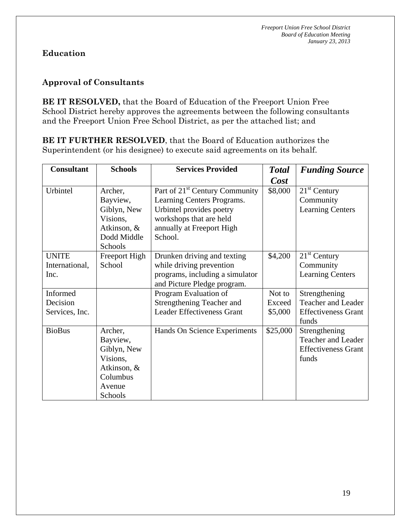### **Education**

### **Approval of Consultants**

**BE IT RESOLVED,** that the Board of Education of the Freeport Union Free School District hereby approves the agreements between the following consultants and the Freeport Union Free School District, as per the attached list; and

**BE IT FURTHER RESOLVED**, that the Board of Education authorizes the Superintendent (or his designee) to execute said agreements on its behalf.

| <b>Consultant</b>                      | <b>Schools</b>                                                                                 | <b>Services Provided</b>                                                                                                        | <b>Total</b> | <b>Funding Source</b>                                                             |
|----------------------------------------|------------------------------------------------------------------------------------------------|---------------------------------------------------------------------------------------------------------------------------------|--------------|-----------------------------------------------------------------------------------|
|                                        |                                                                                                |                                                                                                                                 | Cost         |                                                                                   |
| Urbintel                               | Archer,<br>Bayview,<br>Giblyn, New<br>Visions,                                                 | Part of 21 <sup>st</sup> Century Community<br>Learning Centers Programs.<br>Urbintel provides poetry<br>workshops that are held | \$8,000      | $21st$ Century<br>Community<br><b>Learning Centers</b>                            |
|                                        | Atkinson, &<br>Dodd Middle<br>Schools                                                          | annually at Freeport High<br>School.                                                                                            |              |                                                                                   |
| <b>UNITE</b><br>International,<br>Inc. | Freeport High<br>School                                                                        | Drunken driving and texting<br>while driving prevention<br>programs, including a simulator<br>and Picture Pledge program.       | \$4,200      | $21st$ Century<br>Community<br><b>Learning Centers</b>                            |
| Informed                               |                                                                                                | Program Evaluation of                                                                                                           | Not to       | Strengthening                                                                     |
| Decision                               |                                                                                                | Strengthening Teacher and                                                                                                       | Exceed       | Teacher and Leader                                                                |
| Services, Inc.                         |                                                                                                | <b>Leader Effectiveness Grant</b>                                                                                               | \$5,000      | <b>Effectiveness Grant</b><br>funds                                               |
| <b>BioBus</b>                          | Archer,<br>Bayview,<br>Giblyn, New<br>Visions,<br>Atkinson, &<br>Columbus<br>Avenue<br>Schools | Hands On Science Experiments                                                                                                    | \$25,000     | Strengthening<br><b>Teacher and Leader</b><br><b>Effectiveness Grant</b><br>funds |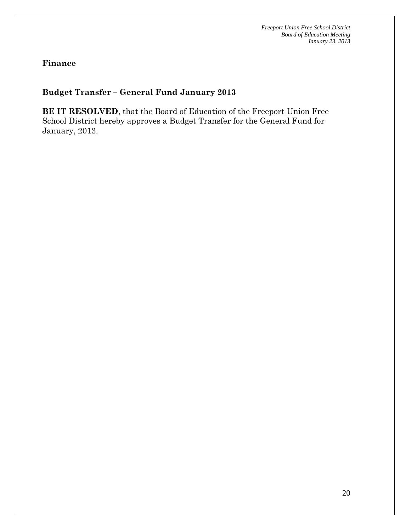**Finance** 

#### **Budget Transfer – General Fund January 2013**

**BE IT RESOLVED**, that the Board of Education of the Freeport Union Free School District hereby approves a Budget Transfer for the General Fund for January, 2013.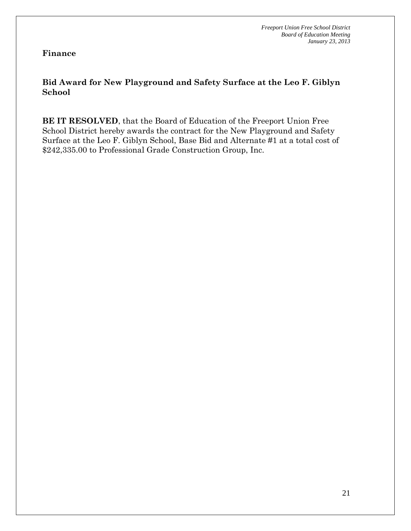**Finance** 

#### **Bid Award for New Playground and Safety Surface at the Leo F. Giblyn School**

**BE IT RESOLVED**, that the Board of Education of the Freeport Union Free School District hereby awards the contract for the New Playground and Safety Surface at the Leo F. Giblyn School, Base Bid and Alternate #1 at a total cost of \$242,335.00 to Professional Grade Construction Group, Inc.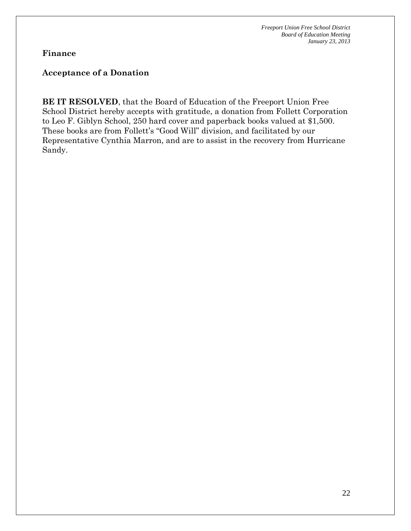#### **Finance**

#### **Acceptance of a Donation**

**BE IT RESOLVED**, that the Board of Education of the Freeport Union Free School District hereby accepts with gratitude, a donation from Follett Corporation to Leo F. Giblyn School, 250 hard cover and paperback books valued at \$1,500. These books are from Follett's "Good Will" division, and facilitated by our Representative Cynthia Marron, and are to assist in the recovery from Hurricane Sandy.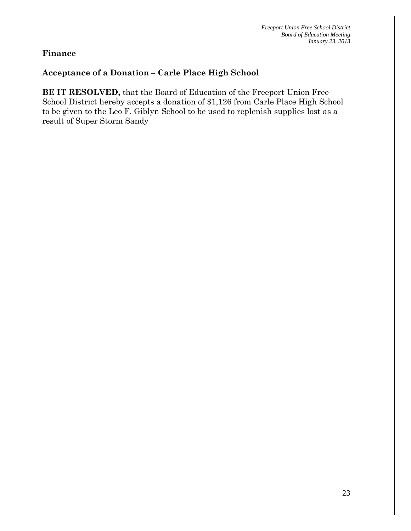#### **Finance**

#### **Acceptance of a Donation – Carle Place High School**

**BE IT RESOLVED,** that the Board of Education of the Freeport Union Free School District hereby accepts a donation of \$1,126 from Carle Place High School to be given to the Leo F. Giblyn School to be used to replenish supplies lost as a result of Super Storm Sandy